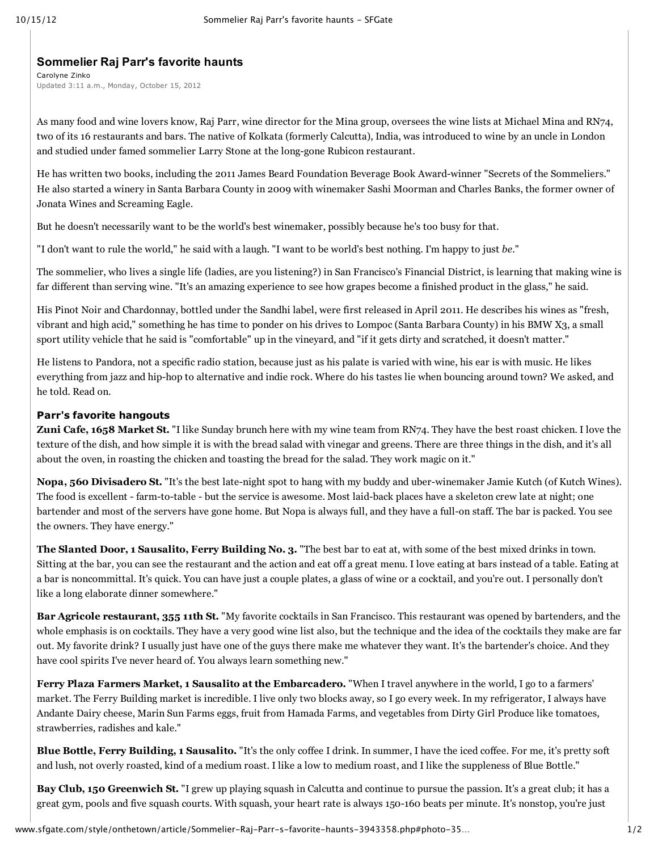## **Sommelier Raj Parr's favorite haunts**

Carolyne Zinko Updated 3:11 a.m., Monday, October 15, 2012

As many food and wine lovers know, Raj [Parr](http://www.sfgate.com/?controllerName=search&action=search&channel=style%2Fonthetown&search=1&inlineLink=1&query=%22Raj+Parr%22), wine director for the Mina group, oversees the wine lists at [Michael](http://www.sfgate.com/?controllerName=search&action=search&channel=style%2Fonthetown&search=1&inlineLink=1&query=%22Michael+Mina%22) Mina and RN74, two of its 16 restaurants and bars. The native of Kolkata (formerly Calcutta), India, was introduced to wine by an uncle in London and studied under famed sommelier Larry Stone at the long-gone Rubicon restaurant.

He has written two books, including the 2011 James Beard Foundation Beverage Book Award-winner "Secrets of the Sommeliers." He also started a winery in Santa Barbara County in 2009 with winemaker Sashi [Moorman](http://www.sfgate.com/?controllerName=search&action=search&channel=style%2Fonthetown&search=1&inlineLink=1&query=%22Sashi+Moorman%22) and [Charles](http://www.sfgate.com/?controllerName=search&action=search&channel=style%2Fonthetown&search=1&inlineLink=1&query=%22Charles+Banks%22) Banks, the former owner of Jonata Wines and Screaming Eagle.

But he doesn't necessarily want to be the world's best winemaker, possibly because he's too busy for that.

"I don't want to rule the world," he said with a laugh. "I want to be world's best nothing. I'm happy to just *be.*"

The sommelier, who lives a single life (ladies, are you listening?) in San Francisco's Financial District, is learning that making wine is far different than serving wine. "It's an amazing experience to see how grapes become a finished product in the glass," he said.

His Pinot Noir and Chardonnay, bottled under the Sandhi label, were first released in April 2011. He describes his wines as "fresh, vibrant and high acid," something he has time to ponder on his drives to Lompoc (Santa Barbara County) in his BMW X3, a small sport utility vehicle that he said is "comfortable" up in the vineyard, and "if it gets dirty and scratched, it doesn't matter."

He listens to Pandora, not a specific radio station, because just as his palate is varied with wine, his ear is with music. He likes everything from jazz and hip-hop to alternative and indie rock. Where do his tastes lie when bouncing around town? We asked, and he told. Read on.

## **Parr's favorite hangouts**

**Zuni Cafe, 1658 Market St.** "I like Sunday brunch here with my wine team from RN74. They have the best roast chicken. I love the texture of the dish, and how simple it is with the bread salad with vinegar and greens. There are three things in the dish, and it's all about the oven, in roasting the chicken and toasting the bread for the salad. They work magic on it."

**Nopa, 560 Divisadero St.** "It's the best late-night spot to hang with my buddy and uber-winemaker Jamie [Kutch](http://www.sfgate.com/?controllerName=search&action=search&channel=style%2Fonthetown&search=1&inlineLink=1&query=%22Jamie+Kutch%22) (of Kutch Wines). The food is excellent - farm-to-table - but the service is awesome. Most laid-back places have a skeleton crew late at night; one bartender and most of the servers have gone home. But Nopa is always full, and they have a full-on staff. The bar is packed. You see the owners. They have energy."

**The Slanted Door, 1 Sausalito, Ferry Building No. 3.** "The best bar to eat at, with some of the best mixed drinks in town. Sitting at the bar, you can see the restaurant and the action and eat off a great menu. I love eating at bars instead of a table. Eating at a bar is noncommittal. It's quick. You can have just a couple plates, a glass of wine or a cocktail, and you're out. I personally don't like a long elaborate dinner somewhere."

**Bar Agricole restaurant, 355 11th St.** "My favorite cocktails in San Francisco. This restaurant was opened by bartenders, and the whole emphasis is on cocktails. They have a very good wine list also, but the technique and the idea of the cocktails they make are far out. My favorite drink? I usually just have one of the guys there make me whatever they want. It's the bartender's choice. And they have cool spirits I've never heard of. You always learn something new."

**Ferry Plaza Farmers Market, 1 Sausalito at the Embarcadero.** "When I travel anywhere in the world, I go to a farmers' market. The Ferry Building market is incredible. I live only two blocks away, so I go every week. In my refrigerator, I always have Andante Dairy cheese, Marin Sun Farms eggs, fruit from Hamada Farms, and vegetables from Dirty Girl Produce like tomatoes, strawberries, radishes and kale."

**Blue Bottle, Ferry Building, 1 Sausalito.** "It's the only coffee I drink. In summer, I have the iced coffee. For me, it's pretty soft and lush, not overly roasted, kind of a medium roast. I like a low to medium roast, and I like the suppleness of Blue Bottle."

**Bay [Club](http://www.sfgate.com/?controllerName=search&action=search&channel=style%2Fonthetown&search=1&inlineLink=1&query=%22Bay+Club%22), 150 Greenwich St.** "I grew up playing squash in Calcutta and continue to pursue the passion. It's a great club; it has a great gym, pools and five squash courts. With squash, your heart rate is always 150-160 beats per minute. It's nonstop, you're just